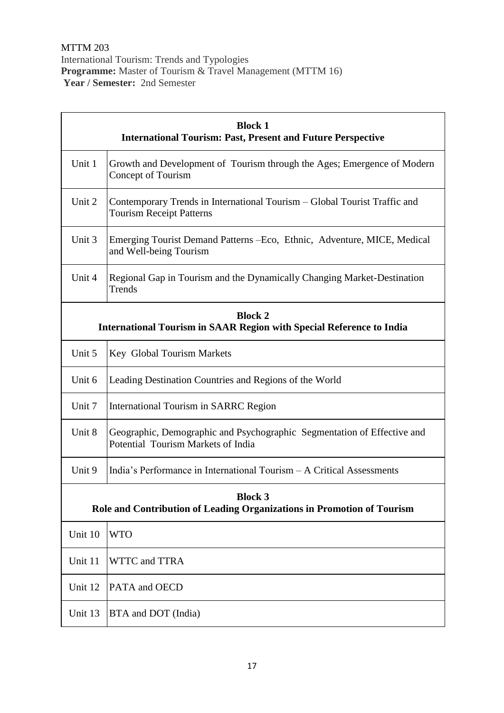| <b>Block 1</b><br><b>International Tourism: Past, Present and Future Perspective</b>          |                                                                                                               |  |
|-----------------------------------------------------------------------------------------------|---------------------------------------------------------------------------------------------------------------|--|
| Unit 1                                                                                        | Growth and Development of Tourism through the Ages; Emergence of Modern<br>Concept of Tourism                 |  |
| Unit 2                                                                                        | Contemporary Trends in International Tourism – Global Tourist Traffic and<br><b>Tourism Receipt Patterns</b>  |  |
| Unit 3                                                                                        | Emerging Tourist Demand Patterns – Eco, Ethnic, Adventure, MICE, Medical<br>and Well-being Tourism            |  |
| Unit 4                                                                                        | Regional Gap in Tourism and the Dynamically Changing Market-Destination<br>Trends                             |  |
| <b>Block 2</b><br><b>International Tourism in SAAR Region with Special Reference to India</b> |                                                                                                               |  |
| Unit 5                                                                                        | Key Global Tourism Markets                                                                                    |  |
| Unit 6                                                                                        | Leading Destination Countries and Regions of the World                                                        |  |
| Unit 7                                                                                        | <b>International Tourism in SARRC Region</b>                                                                  |  |
| Unit 8                                                                                        | Geographic, Demographic and Psychographic Segmentation of Effective and<br>Potential Tourism Markets of India |  |
| Unit 9                                                                                        | India's Performance in International Tourism - A Critical Assessments                                         |  |
| <b>Block 3</b><br>Role and Contribution of Leading Organizations in Promotion of Tourism      |                                                                                                               |  |
| Unit 10                                                                                       | <b>WTO</b>                                                                                                    |  |
| Unit 11                                                                                       | <b>WTTC</b> and TTRA                                                                                          |  |
| Unit 12                                                                                       | PATA and OECD                                                                                                 |  |
| Unit 13                                                                                       | BTA and DOT (India)                                                                                           |  |